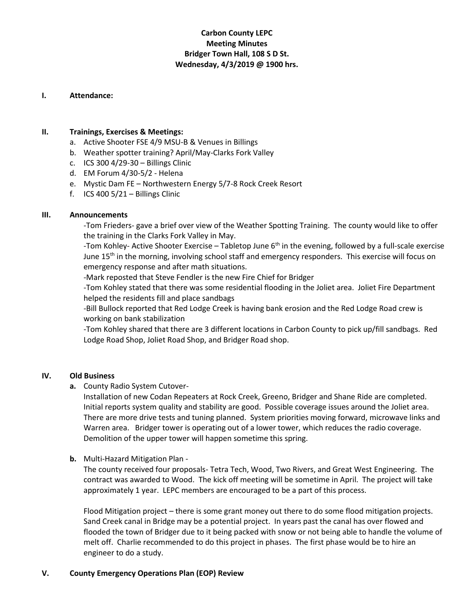# **Carbon County LEPC Meeting Minutes Bridger Town Hall, 108 S D St. Wednesday, 4/3/2019 @ 1900 hrs.**

#### **I. Attendance:**

# **II. Trainings, Exercises & Meetings:**

- a. Active Shooter FSE 4/9 MSU-B & Venues in Billings
- b. Weather spotter training? April/May-Clarks Fork Valley
- c. ICS 300 4/29-30 Billings Clinic
- d. EM Forum 4/30-5/2 Helena
- e. Mystic Dam FE Northwestern Energy 5/7-8 Rock Creek Resort
- f. ICS 400  $5/21 -$  Billings Clinic

## **III. Announcements**

-Tom Frieders- gave a brief over view of the Weather Spotting Training. The county would like to offer the training in the Clarks Fork Valley in May.

-Tom Kohley- Active Shooter Exercise – Tabletop June 6<sup>th</sup> in the evening, followed by a full-scale exercise June 15<sup>th</sup> in the morning, involving school staff and emergency responders. This exercise will focus on emergency response and after math situations.

-Mark reposted that Steve Fendler is the new Fire Chief for Bridger

-Tom Kohley stated that there was some residential flooding in the Joliet area. Joliet Fire Department helped the residents fill and place sandbags

-Bill Bullock reported that Red Lodge Creek is having bank erosion and the Red Lodge Road crew is working on bank stabilization

-Tom Kohley shared that there are 3 different locations in Carbon County to pick up/fill sandbags. Red Lodge Road Shop, Joliet Road Shop, and Bridger Road shop.

## **IV. Old Business**

**a.** County Radio System Cutover-

Installation of new Codan Repeaters at Rock Creek, Greeno, Bridger and Shane Ride are completed. Initial reports system quality and stability are good. Possible coverage issues around the Joliet area. There are more drive tests and tuning planned. System priorities moving forward, microwave links and Warren area. Bridger tower is operating out of a lower tower, which reduces the radio coverage. Demolition of the upper tower will happen sometime this spring.

## **b.** Multi-Hazard Mitigation Plan -

The county received four proposals- Tetra Tech, Wood, Two Rivers, and Great West Engineering. The contract was awarded to Wood. The kick off meeting will be sometime in April. The project will take approximately 1 year. LEPC members are encouraged to be a part of this process.

Flood Mitigation project – there is some grant money out there to do some flood mitigation projects. Sand Creek canal in Bridge may be a potential project. In years past the canal has over flowed and flooded the town of Bridger due to it being packed with snow or not being able to handle the volume of melt off. Charlie recommended to do this project in phases. The first phase would be to hire an engineer to do a study.

## **V. County Emergency Operations Plan (EOP) Review**